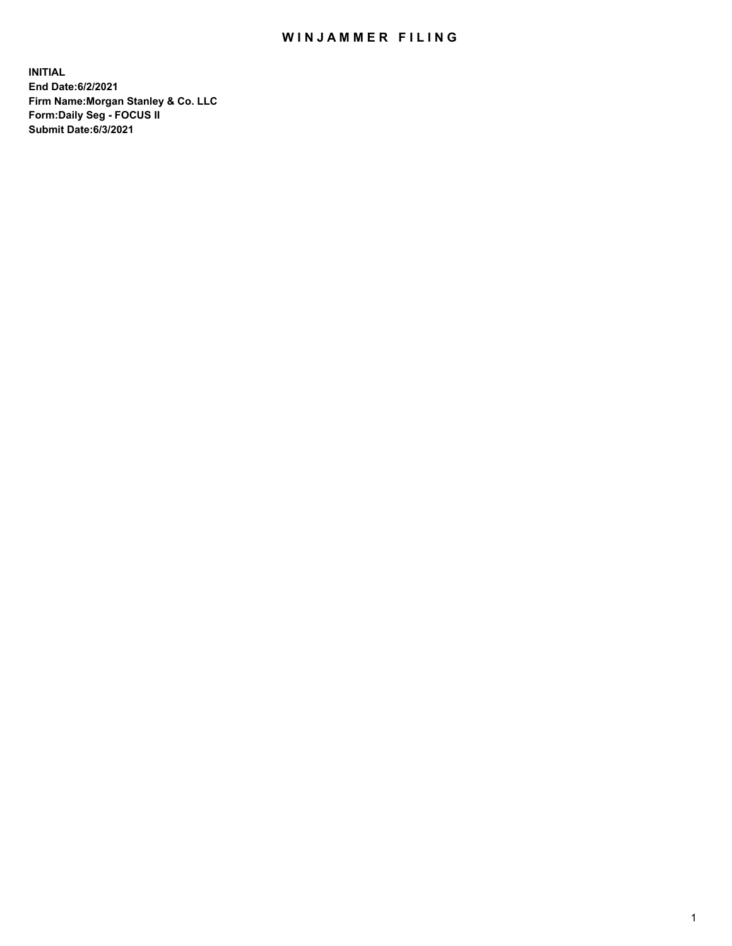## WIN JAMMER FILING

**INITIAL End Date:6/2/2021 Firm Name:Morgan Stanley & Co. LLC Form:Daily Seg - FOCUS II Submit Date:6/3/2021**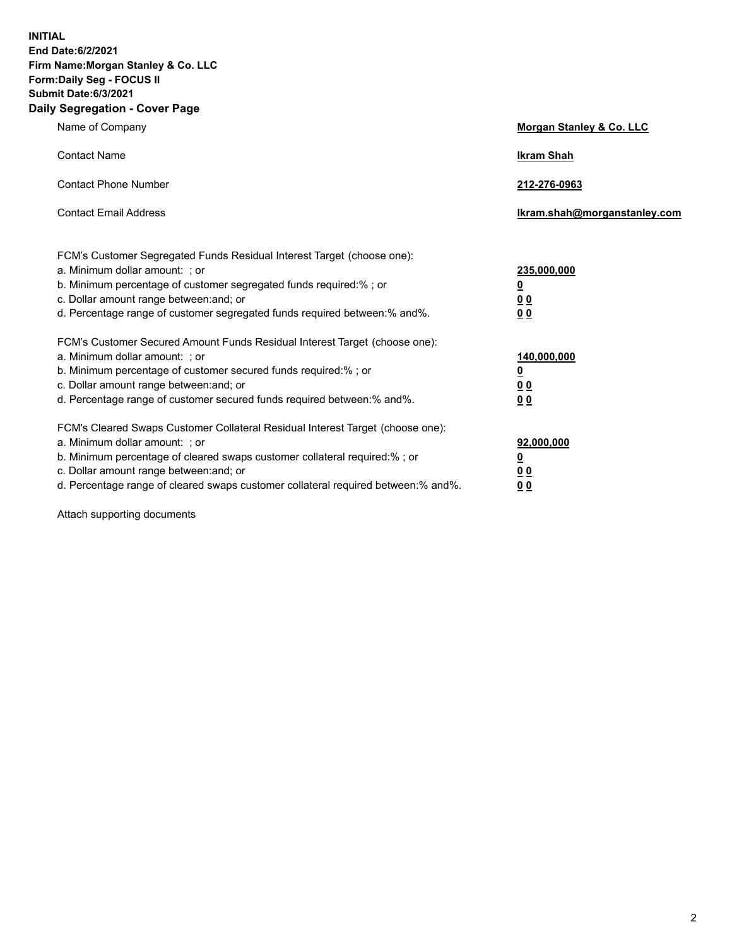**INITIAL End Date:6/2/2021 Firm Name:Morgan Stanley & Co. LLC Form:Daily Seg - FOCUS II Submit Date:6/3/2021 Daily Segregation - Cover Page**

| Name of Company                                                                                                                                                                                                                                                                                                                | <b>Morgan Stanley &amp; Co. LLC</b>                    |
|--------------------------------------------------------------------------------------------------------------------------------------------------------------------------------------------------------------------------------------------------------------------------------------------------------------------------------|--------------------------------------------------------|
| <b>Contact Name</b>                                                                                                                                                                                                                                                                                                            | <b>Ikram Shah</b>                                      |
| <b>Contact Phone Number</b>                                                                                                                                                                                                                                                                                                    | 212-276-0963                                           |
| <b>Contact Email Address</b>                                                                                                                                                                                                                                                                                                   | Ikram.shah@morganstanley.com                           |
| FCM's Customer Segregated Funds Residual Interest Target (choose one):<br>a. Minimum dollar amount: ; or<br>b. Minimum percentage of customer segregated funds required:% ; or<br>c. Dollar amount range between: and; or<br>d. Percentage range of customer segregated funds required between:% and%.                         | 235,000,000<br><u>0</u><br>0 Q<br>0 <sub>0</sub>       |
| FCM's Customer Secured Amount Funds Residual Interest Target (choose one):<br>a. Minimum dollar amount: ; or<br>b. Minimum percentage of customer secured funds required:% ; or<br>c. Dollar amount range between: and; or<br>d. Percentage range of customer secured funds required between: % and %.                         | 140,000,000<br><u>0</u><br><u>00</u><br>0 <sub>0</sub> |
| FCM's Cleared Swaps Customer Collateral Residual Interest Target (choose one):<br>a. Minimum dollar amount: ; or<br>b. Minimum percentage of cleared swaps customer collateral required:% ; or<br>c. Dollar amount range between: and; or<br>d. Percentage range of cleared swaps customer collateral required between:% and%. | 92,000,000<br><u>0</u><br>0 Q<br>0 <sub>0</sub>        |

Attach supporting documents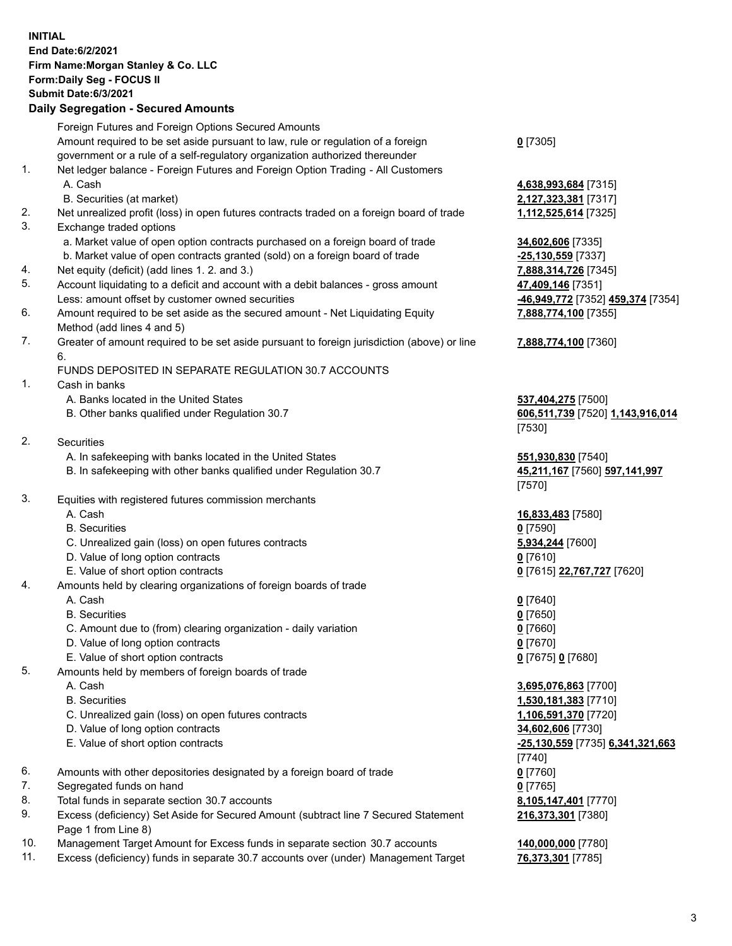## **INITIAL End Date:6/2/2021 Firm Name:Morgan Stanley & Co. LLC Form:Daily Seg - FOCUS II Submit Date:6/3/2021 Daily Segregation - Secured Amounts** Foreign Futures and Foreign Options Secured Amounts Amount required to be set aside pursuant to law, rule or regulation of a foreign government or a rule of a self-regulatory organization authorized thereunder 1. Net ledger balance - Foreign Futures and Foreign Option Trading - All Customers A. Cash **4,638,993,684** [7315] B. Securities (at market) **2,127,323,381** [7317] 2. Net unrealized profit (loss) in open futures contracts traded on a foreign board of trade **1,112,525,614** [7325] 3. Exchange traded options a. Market value of open option contracts purchased on a foreign board of trade **34,602,606** [7335] b. Market value of open contracts granted (sold) on a foreign board of trade **-25,130,559** [7337] 4. Net equity (deficit) (add lines 1. 2. and 3.) **7,888,314,726** [7345] 5. Account liquidating to a deficit and account with a debit balances - gross amount **47,409,146** [7351] Less: amount offset by customer owned securities **-46,949,772** [7352] **459,374** [7354] 6. Amount required to be set aside as the secured amount - Net Liquidating Equity Method (add lines 4 and 5) 7. Greater of amount required to be set aside pursuant to foreign jurisdiction (above) or line 6. FUNDS DEPOSITED IN SEPARATE REGULATION 30.7 ACCOUNTS 1. Cash in banks A. Banks located in the United States **537,404,275** [7500] B. Other banks qualified under Regulation 30.7 **606,511,739** [7520] **1,143,916,014** 2. Securities A. In safekeeping with banks located in the United States **551,930,830** [7540] B. In safekeeping with other banks qualified under Regulation 30.7 **45,211,167** [7560] **597,141,997** 3. Equities with registered futures commission merchants A. Cash **16,833,483** [7580] B. Securities **0** [7590] C. Unrealized gain (loss) on open futures contracts **5,934,244** [7600] D. Value of long option contracts **0** [7610] E. Value of short option contracts **0** [7615] **22,767,727** [7620] 4. Amounts held by clearing organizations of foreign boards of trade A. Cash **0** [7640] B. Securities **0** [7650] C. Amount due to (from) clearing organization - daily variation **0** [7660] D. Value of long option contracts **0** [7670] E. Value of short option contracts **0** [7675] **0** [7680] 5. Amounts held by members of foreign boards of trade A. Cash **3,695,076,863** [7700] B. Securities **1,530,181,383** [7710] C. Unrealized gain (loss) on open futures contracts **1,106,591,370** [7720] D. Value of long option contracts **34,602,606** [7730] E. Value of short option contracts **-25,130,559** [7735] **6,341,321,663** 6. Amounts with other depositories designated by a foreign board of trade **0** [7760] 7. Segregated funds on hand **0** [7765]

- 8. Total funds in separate section 30.7 accounts **8,105,147,401** [7770]
- 9. Excess (deficiency) Set Aside for Secured Amount (subtract line 7 Secured Statement Page 1 from Line 8)
- 10. Management Target Amount for Excess funds in separate section 30.7 accounts **140,000,000** [7780]
- 11. Excess (deficiency) funds in separate 30.7 accounts over (under) Management Target **76,373,301** [7785]

**0** [7305]

**7,888,774,100** [7355] **7,888,774,100** [7360] [7530]

[7570]

[7740] **216,373,301** [7380]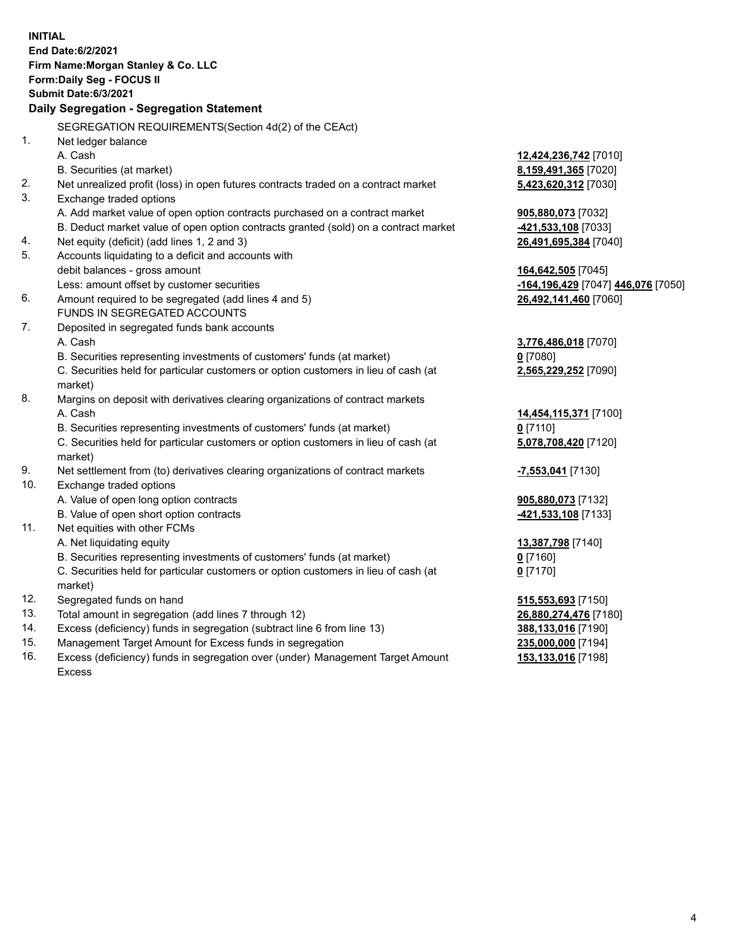| <b>INITIAL</b> | End Date:6/2/2021                                                                   |                                    |
|----------------|-------------------------------------------------------------------------------------|------------------------------------|
|                | Firm Name: Morgan Stanley & Co. LLC                                                 |                                    |
|                | Form: Daily Seg - FOCUS II                                                          |                                    |
|                | <b>Submit Date:6/3/2021</b>                                                         |                                    |
|                | Daily Segregation - Segregation Statement                                           |                                    |
|                | SEGREGATION REQUIREMENTS(Section 4d(2) of the CEAct)                                |                                    |
| 1.             | Net ledger balance                                                                  |                                    |
|                | A. Cash                                                                             | 12,424,236,742 [7010]              |
|                | B. Securities (at market)                                                           | 8,159,491,365 [7020]               |
| 2.             | Net unrealized profit (loss) in open futures contracts traded on a contract market  | 5,423,620,312 [7030]               |
| 3.             | Exchange traded options                                                             |                                    |
|                | A. Add market value of open option contracts purchased on a contract market         | 905,880,073 [7032]                 |
|                | B. Deduct market value of open option contracts granted (sold) on a contract market | -421,533,108 [7033]                |
| 4.             | Net equity (deficit) (add lines 1, 2 and 3)                                         | 26,491,695,384 [7040]              |
| 5.             | Accounts liquidating to a deficit and accounts with                                 |                                    |
|                | debit balances - gross amount                                                       | 164,642,505 [7045]                 |
|                | Less: amount offset by customer securities                                          | -164,196,429 [7047] 446,076 [7050] |
| 6.             | Amount required to be segregated (add lines 4 and 5)                                | 26,492,141,460 [7060]              |
|                | FUNDS IN SEGREGATED ACCOUNTS                                                        |                                    |
| 7.             | Deposited in segregated funds bank accounts                                         |                                    |
|                | A. Cash                                                                             | 3,776,486,018 [7070]               |
|                | B. Securities representing investments of customers' funds (at market)              | $0$ [7080]                         |
|                | C. Securities held for particular customers or option customers in lieu of cash (at | 2,565,229,252 [7090]               |
|                | market)                                                                             |                                    |
| 8.             | Margins on deposit with derivatives clearing organizations of contract markets      |                                    |
|                | A. Cash                                                                             | 14,454,115,371 [7100]              |
|                | B. Securities representing investments of customers' funds (at market)              | $0$ [7110]                         |
|                | C. Securities held for particular customers or option customers in lieu of cash (at | 5,078,708,420 [7120]               |
|                | market)                                                                             |                                    |
| 9.             | Net settlement from (to) derivatives clearing organizations of contract markets     | -7,553,041 [7130]                  |
| 10.            | Exchange traded options                                                             |                                    |
|                | A. Value of open long option contracts                                              | 905,880,073 [7132]                 |
|                | B. Value of open short option contracts                                             | -421,533,108 [7133]                |
| 11.            | Net equities with other FCMs                                                        |                                    |
|                | A. Net liquidating equity                                                           | 13,387,798 [7140]                  |
|                | B. Securities representing investments of customers' funds (at market)              | $0$ [7160]                         |
|                | C. Securities held for particular customers or option customers in lieu of cash (at | $0$ [7170]                         |
|                | market)                                                                             |                                    |
| 12.            | Segregated funds on hand                                                            | 515,553,693 [7150]                 |
| 13.            | Total amount in segregation (add lines 7 through 12)                                | 26,880,274,476 [7180]              |
| 14.            | Excess (deficiency) funds in segregation (subtract line 6 from line 13)             | 388,133,016 [7190]                 |
| 15.            | Management Target Amount for Excess funds in segregation                            | 235,000,000 [7194]                 |
| 16.            | Excess (deficiency) funds in segregation over (under) Management Target Amount      | 153,133,016 [7198]                 |
|                | <b>Excess</b>                                                                       |                                    |